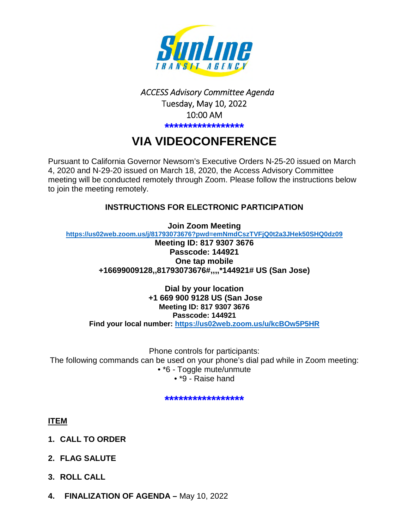

## *ACCESS Advisory Committee Agenda*  Tuesday, May 10, 2022 10:00 AM **\*\*\*\*\*\*\*\*\*\*\*\*\*\*\*\*\***

# **VIA VIDEOCONFERENCE**

Pursuant to California Governor Newsom's Executive Orders N-25-20 issued on March 4, 2020 and N-29-20 issued on March 18, 2020, the Access Advisory Committee meeting will be conducted remotely through Zoom. Please follow the instructions below to join the meeting remotely.

## **INSTRUCTIONS FOR ELECTRONIC PARTICIPATION**

**Join Zoom Meeting <https://us02web.zoom.us/j/81793073676?pwd=emNmdCszTVFjQ0t2a3JHek50SHQ0dz09> Meeting ID: 817 9307 3676** 

**Passcode: 144921 One tap mobile +16699009128,,81793073676#,,,,\*144921# US (San Jose)** 

**Dial by your location +1 669 900 9128 US (San Jose Meeting ID: 817 9307 3676 Passcode: 144921 Find your local number:<https://us02web.zoom.us/u/kcBOw5P5HR>**

Phone controls for participants: The following commands can be used on your phone's dial pad while in Zoom meeting: • \*6 - Toggle mute/unmute • \*9 - Raise hand

**\*\*\*\*\*\*\*\*\*\*\*\*\*\*\*\*\*** 

**ITEM** 

- **1. CALL TO ORDER**
- **2. FLAG SALUTE**
- **3. ROLL CALL**
- **4. FINALIZATION OF AGENDA** May 10, 2022